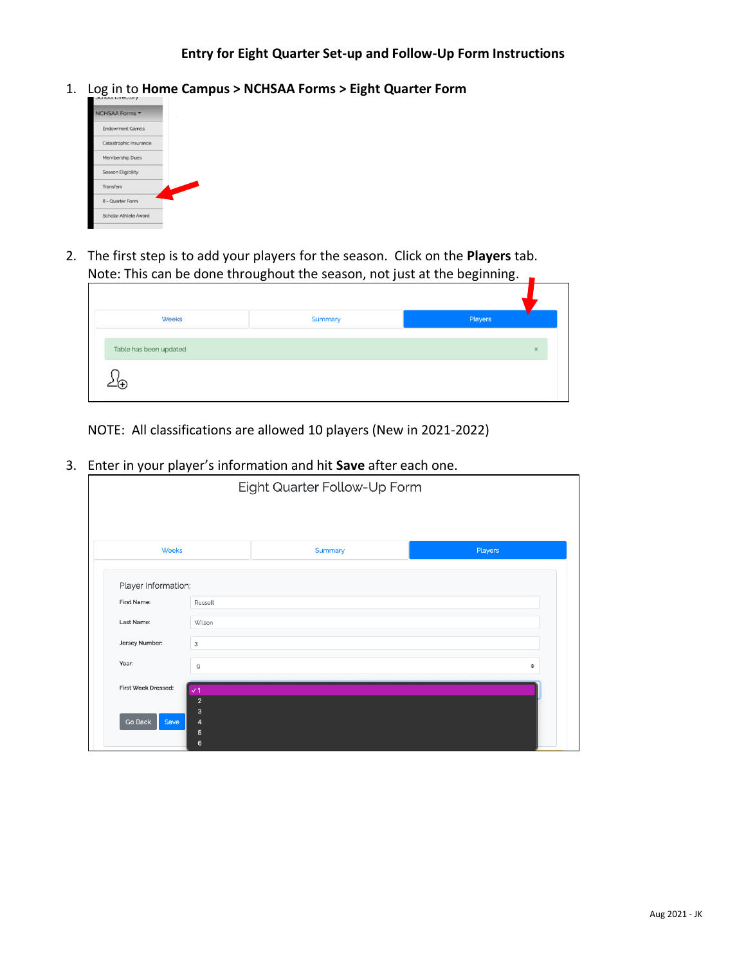1. Log in to **Home Campus > NCHSAA Forms > Eight Quarter Form**



2. The first step is to add your players for the season. Click on the **Players** tab. Note: This can be done throughout the season, not just at the beginning.

| Weeks                  | Summary | Players  |
|------------------------|---------|----------|
| Table has been updated |         | $\times$ |
|                        |         |          |

NOTE: All classifications are allowed 10 players (New in 2021-2022)

3. Enter in your player's information and hit **Save** after each one.

|                            | Eight Quarter Follow-Up Form |         |         |  |  |
|----------------------------|------------------------------|---------|---------|--|--|
|                            |                              |         |         |  |  |
| <b>Weeks</b>               |                              | Summary | Players |  |  |
| Player Information:        |                              |         |         |  |  |
| First Name:                | Russell                      |         |         |  |  |
| Last Name:                 | Wilson                       |         |         |  |  |
| Jersey Number:             | 3                            |         |         |  |  |
| Year:                      | 9                            |         | ٠       |  |  |
| <b>First Week Dressed:</b> | $\sqrt{1}$                   |         |         |  |  |
|                            | $\overline{2}$               |         |         |  |  |
| Go Back<br>Save            | 3<br>4                       |         |         |  |  |
|                            | 5                            |         |         |  |  |
|                            | 6                            |         |         |  |  |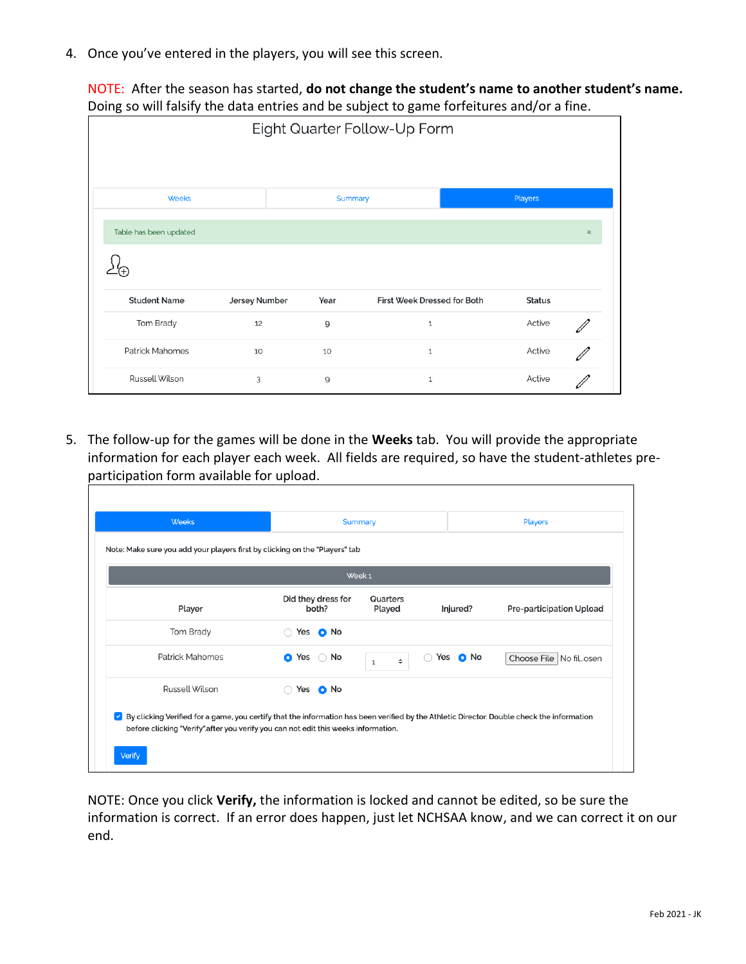4. Once you've entered in the players, you will see this screen.

NOTE: After the season has started, **do not change the student's name to another student's name.** Doing so will falsify the data entries and be subject to game forfeitures and/or a fine.

|                        |               |                | Eight Quarter Follow-Up Form |               |                |
|------------------------|---------------|----------------|------------------------------|---------------|----------------|
|                        |               |                |                              |               |                |
| <b>Weeks</b>           |               | <b>Summary</b> |                              | Players       |                |
| Table has been updated |               |                |                              |               | $\pmb{\times}$ |
|                        |               |                |                              |               |                |
| <b>Student Name</b>    | Jersey Number | Year           | First Week Dressed for Both  | <b>Status</b> |                |
| Tom Brady              | 12            | 9              | $\mathbf 1$                  | Active        |                |
| <b>Patrick Mahomes</b> | 10            | 10             | $\mathbf{1}$                 | Active        |                |
| Russell Wilson         | 3             | 9              | $1\,$                        | Active        |                |

5. The follow-up for the games will be done in the **Weeks** tab. You will provide the appropriate information for each player each week. All fields are required, so have the student-athletes preparticipation form available for upload. ٦

| Week <sub>1</sub> |                                 |                                             |                          |  |  |
|-------------------|---------------------------------|---------------------------------------------|--------------------------|--|--|
| Player            | Did they dress for<br>both?     | Quarters<br>Played<br>Injured?              | Pre-participation Upload |  |  |
| Tom Brady         | Yes <b>O</b> No                 |                                             |                          |  |  |
| Patrick Mahomes   | No<br><b>O</b> Yes<br>$\bigcap$ | Yes <b>O</b> No<br>( )<br>÷<br>$\mathbf{1}$ | Choose File   No filosen |  |  |
| Russell Wilson    | Yes <b>O</b> No<br>$\bigcap$    |                                             |                          |  |  |

NOTE: Once you click **Verify,** the information is locked and cannot be edited, so be sure the information is correct. If an error does happen, just let NCHSAA know, and we can correct it on our end.